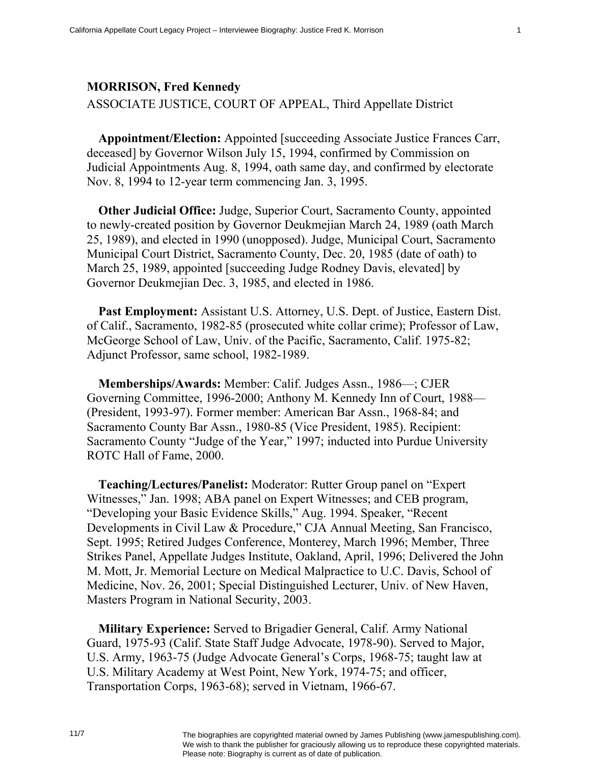## **MORRISON, Fred Kennedy**

ASSOCIATE JUSTICE, COURT OF APPEAL, Third Appellate District

**Appointment/Election:** Appointed [succeeding Associate Justice Frances Carr, deceased] by Governor Wilson July 15, 1994, confirmed by Commission on Judicial Appointments Aug. 8, 1994, oath same day, and confirmed by electorate Nov. 8, 1994 to 12-year term commencing Jan. 3, 1995.

**Other Judicial Office:** Judge, Superior Court, Sacramento County, appointed to newly-created position by Governor Deukmejian March 24, 1989 (oath March 25, 1989), and elected in 1990 (unopposed). Judge, Municipal Court, Sacramento Municipal Court District, Sacramento County, Dec. 20, 1985 (date of oath) to March 25, 1989, appointed [succeeding Judge Rodney Davis, elevated] by Governor Deukmejian Dec. 3, 1985, and elected in 1986.

**Past Employment:** Assistant U.S. Attorney, U.S. Dept. of Justice, Eastern Dist. of Calif., Sacramento, 1982-85 (prosecuted white collar crime); Professor of Law, McGeorge School of Law, Univ. of the Pacific, Sacramento, Calif. 1975-82; Adjunct Professor, same school, 1982-1989.

**Memberships/Awards:** Member: Calif. Judges Assn., 1986—; CJER Governing Committee, 1996-2000; Anthony M. Kennedy Inn of Court, 1988— (President, 1993-97). Former member: American Bar Assn., 1968-84; and Sacramento County Bar Assn., 1980-85 (Vice President, 1985). Recipient: Sacramento County "Judge of the Year," 1997; inducted into Purdue University ROTC Hall of Fame, 2000.

**Teaching/Lectures/Panelist:** Moderator: Rutter Group panel on "Expert Witnesses," Jan. 1998; ABA panel on Expert Witnesses; and CEB program, "Developing your Basic Evidence Skills," Aug. 1994. Speaker, "Recent Developments in Civil Law & Procedure," CJA Annual Meeting, San Francisco, Sept. 1995; Retired Judges Conference, Monterey, March 1996; Member, Three Strikes Panel, Appellate Judges Institute, Oakland, April, 1996; Delivered the John M. Mott, Jr. Memorial Lecture on Medical Malpractice to U.C. Davis, School of Medicine, Nov. 26, 2001; Special Distinguished Lecturer, Univ. of New Haven, Masters Program in National Security, 2003.

**Military Experience:** Served to Brigadier General, Calif. Army National Guard, 1975-93 (Calif. State Staff Judge Advocate, 1978-90). Served to Major, U.S. Army, 1963-75 (Judge Advocate General's Corps, 1968-75; taught law at U.S. Military Academy at West Point, New York, 1974-75; and officer, Transportation Corps, 1963-68); served in Vietnam, 1966-67.